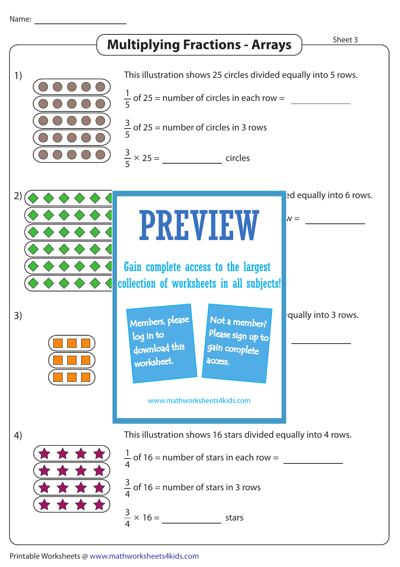